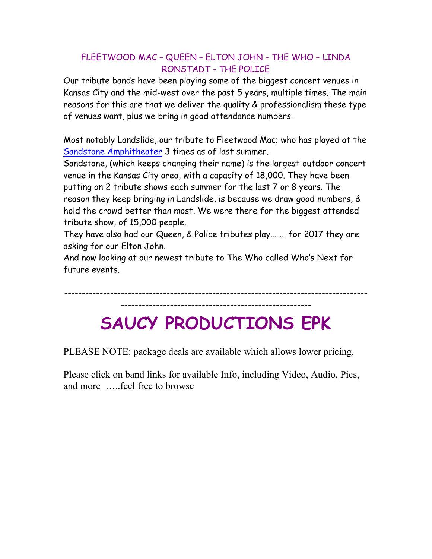## FLEETWOOD MAC – QUEEN – ELTON JOHN - THE WHO – LINDA RONSTADT - THE POLICE

Our tribute bands have been playing some of the biggest concert venues in Kansas City and the mid-west over the past 5 years, multiple times. The main reasons for this are that we deliver the quality & professionalism these type of venues want, plus we bring in good attendance numbers.

Most notably Landslide, our tribute to Fleetwood Mac; who has played at the Sandstone Amphitheater 3 times as of last summer.

Sandstone, (which keeps changing their name) is the largest outdoor concert venue in the Kansas City area, with a capacity of 18,000. They have been putting on 2 tribute shows each summer for the last 7 or 8 years. The reason they keep bringing in Landslide, is because we draw good numbers, & hold the crowd better than most. We were there for the biggest attended tribute show, of 15,000 people.

They have also had our Queen, & Police tributes play…….. for 2017 they are asking for our Elton John.

And now looking at our newest tribute to The Who called Who's Next for future events.

-------------------------------------------------------------------------------------- ------------------------------------------------------

## **SAUCY PRODUCTIONS EPK**

PLEASE NOTE: package deals are available which allows lower pricing.

Please click on band links for available Info, including Video, Audio, Pics, and more …..feel free to browse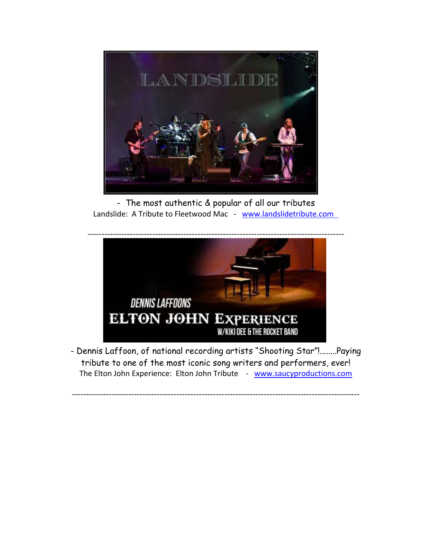

- The most authentic & popular of all our tributes Landslide: A Tribute to Fleetwood Mac - www.landslidetribute.com



- Dennis Laffoon, of national recording artists "Shooting Star"!........Paying tribute to one of the most iconic song writers and performers, ever! The Elton John Experience: Elton John Tribute - www.saucyproductions.com

------------------------------------------------------------------------------------------------------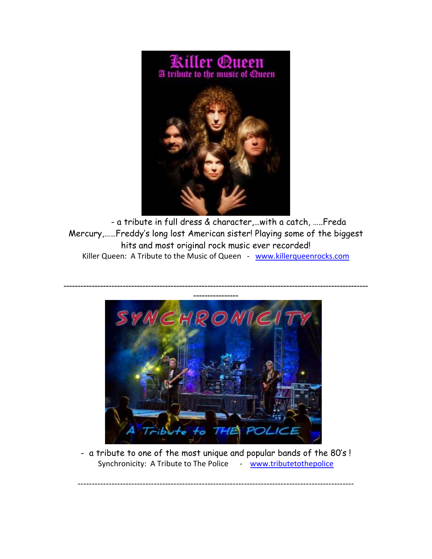

- a tribute in full dress & character,…with a catch, …..Freda Mercury,……Freddy's long lost American sister! Playing some of the biggest hits and most original rock music ever recorded! Killer Queen: A Tribute to the Music of Queen - www.killerqueenrocks.com



- a tribute to one of the most unique and popular bands of the 80's ! Synchronicity: A Tribute to The Police ‐ www.tributetothepolice

--------------------------------------------------------------------------------------------------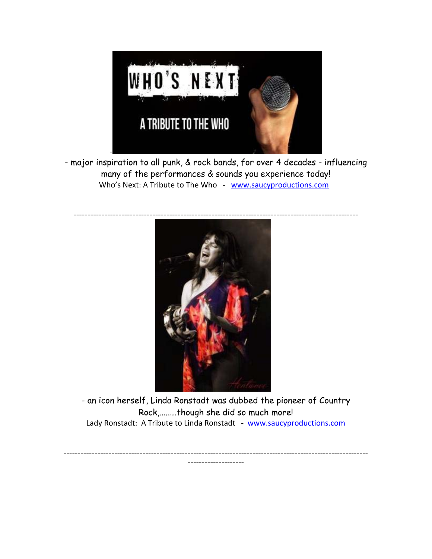

- major inspiration to all punk, & rock bands, for over 4 decades - influencing many of the performances & sounds you experience today! Who's Next: A Tribute to The Who ‐ www.saucyproductions.com



- an icon herself, Linda Ronstadt was dubbed the pioneer of Country Rock,………though she did so much more! Lady Ronstadt: A Tribute to Linda Ronstadt - www.saucyproductions.com

------------------------------------------------------------------------------------------------------------ --------------------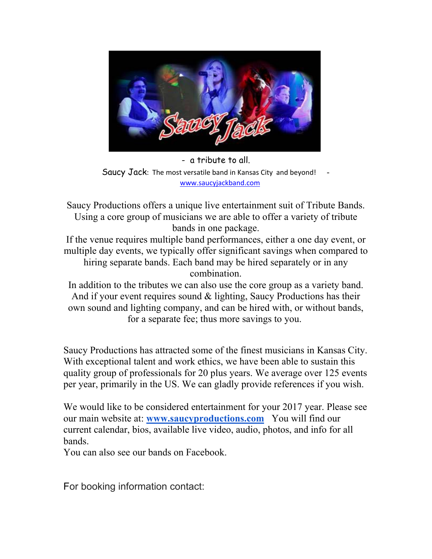

- a tribute to all. Saucy Jack: The most versatile band in Kansas City and beyond! www.saucyjackband.com

Saucy Productions offers a unique live entertainment suit of Tribute Bands. Using a core group of musicians we are able to offer a variety of tribute bands in one package.

If the venue requires multiple band performances, either a one day event, or multiple day events, we typically offer significant savings when compared to hiring separate bands. Each band may be hired separately or in any combination.

In addition to the tributes we can also use the core group as a variety band. And if your event requires sound & lighting, Saucy Productions has their own sound and lighting company, and can be hired with, or without bands, for a separate fee; thus more savings to you.

Saucy Productions has attracted some of the finest musicians in Kansas City. With exceptional talent and work ethics, we have been able to sustain this quality group of professionals for 20 plus years. We average over 125 events per year, primarily in the US. We can gladly provide references if you wish.

We would like to be considered entertainment for your 2017 year. Please see our main website at: **www.saucyproductions.com** You will find our current calendar, bios, available live video, audio, photos, and info for all bands.

You can also see our bands on Facebook.

For booking information contact: